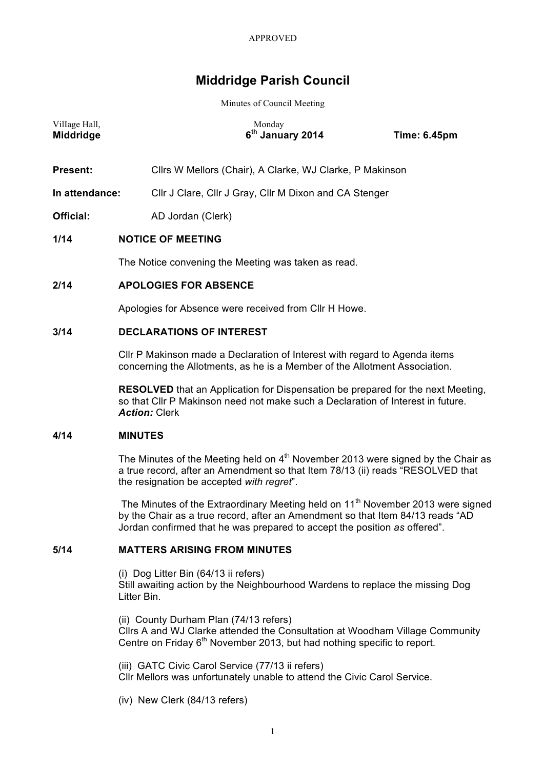# **Middridge Parish Council**

Minutes of Council Meeting

| Village Hall,<br>Middridge | Monday<br>6 <sup>th</sup> January 2014<br><b>Time: 6.45pm</b>                                                                                                                                                     |  |
|----------------------------|-------------------------------------------------------------------------------------------------------------------------------------------------------------------------------------------------------------------|--|
| Present:                   | Cllrs W Mellors (Chair), A Clarke, WJ Clarke, P Makinson                                                                                                                                                          |  |
| In attendance:             | Cllr J Clare, Cllr J Gray, Cllr M Dixon and CA Stenger                                                                                                                                                            |  |
| Official:                  | AD Jordan (Clerk)                                                                                                                                                                                                 |  |
| 1/14                       | <b>NOTICE OF MEETING</b>                                                                                                                                                                                          |  |
|                            | The Notice convening the Meeting was taken as read.                                                                                                                                                               |  |
| 2/14                       | <b>APOLOGIES FOR ABSENCE</b>                                                                                                                                                                                      |  |
|                            | Apologies for Absence were received from Cllr H Howe.                                                                                                                                                             |  |
| 3/14                       | <b>DECLARATIONS OF INTEREST</b>                                                                                                                                                                                   |  |
|                            | CIIr P Makinson made a Declaration of Interest with regard to Agenda items<br>concerning the Allotments, as he is a Member of the Allotment Association.                                                          |  |
|                            | <b>RESOLVED</b> that an Application for Dispensation be prepared for the next Meeting,<br>so that CIIr P Makinson need not make such a Declaration of Interest in future.<br><b>Action: Clerk</b>                 |  |
| 4/14                       | <b>MINUTES</b>                                                                                                                                                                                                    |  |
|                            | The Minutes of the Meeting held on $4th$ November 2013 were signed by the Chair as<br>a true record, after an Amendment so that Item 78/13 (ii) reads "RESOLVED that<br>the resignation be accepted with regret". |  |
|                            |                                                                                                                                                                                                                   |  |

The Minutes of the Extraordinary Meeting held on  $11<sup>th</sup>$  November 2013 were signed by the Chair as a true record, after an Amendment so that Item 84/13 reads "AD Jordan confirmed that he was prepared to accept the position *as* offered".

# **5/14 MATTERS ARISING FROM MINUTES**

(i) Dog Litter Bin (64/13 ii refers) Still awaiting action by the Neighbourhood Wardens to replace the missing Dog Litter Bin.

(ii) County Durham Plan (74/13 refers) Cllrs A and WJ Clarke attended the Consultation at Woodham Village Community Centre on Friday 6<sup>th</sup> November 2013, but had nothing specific to report.

(iii) GATC Civic Carol Service (77/13 ii refers) Cllr Mellors was unfortunately unable to attend the Civic Carol Service.

(iv) New Clerk (84/13 refers)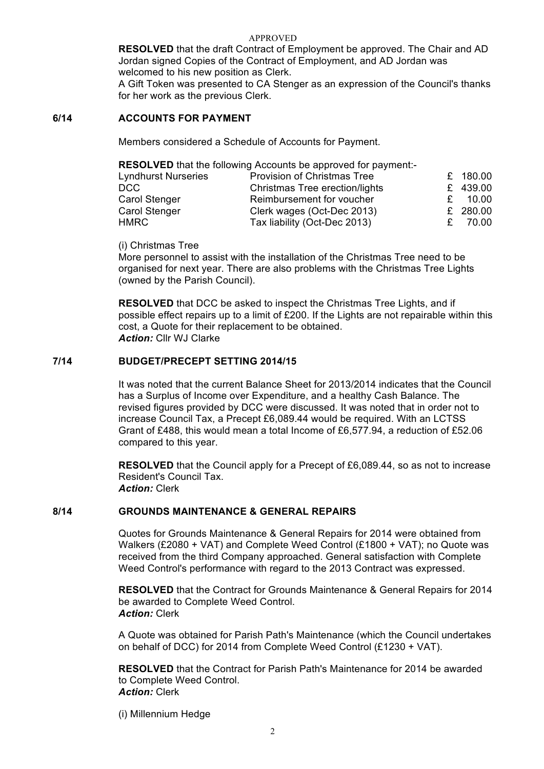**RESOLVED** that the draft Contract of Employment be approved. The Chair and AD Jordan signed Copies of the Contract of Employment, and AD Jordan was welcomed to his new position as Clerk.

A Gift Token was presented to CA Stenger as an expression of the Council's thanks for her work as the previous Clerk.

### **6/14 ACCOUNTS FOR PAYMENT**

Members considered a Schedule of Accounts for Payment.

**RESOLVED** that the following Accounts be approved for payment:-

| <b>Lyndhurst Nurseries</b> | <b>Provision of Christmas Tree</b> | £ 180.00 |
|----------------------------|------------------------------------|----------|
| DCC.                       | Christmas Tree erection/lights     | £ 439.00 |
| Carol Stenger              | Reimbursement for voucher          | - 10.00  |
| <b>Carol Stenger</b>       | Clerk wages (Oct-Dec 2013)         | £ 280.00 |
| HMRC                       | Tax liability (Oct-Dec 2013)       | 70.00    |

(i) Christmas Tree

More personnel to assist with the installation of the Christmas Tree need to be organised for next year. There are also problems with the Christmas Tree Lights (owned by the Parish Council).

**RESOLVED** that DCC be asked to inspect the Christmas Tree Lights, and if possible effect repairs up to a limit of £200. If the Lights are not repairable within this cost, a Quote for their replacement to be obtained. *Action:* Cllr WJ Clarke

### **7/14 BUDGET/PRECEPT SETTING 2014/15**

It was noted that the current Balance Sheet for 2013/2014 indicates that the Council has a Surplus of Income over Expenditure, and a healthy Cash Balance. The revised figures provided by DCC were discussed. It was noted that in order not to increase Council Tax, a Precept £6,089.44 would be required. With an LCTSS Grant of £488, this would mean a total Income of £6,577.94, a reduction of £52.06 compared to this year.

**RESOLVED** that the Council apply for a Precept of £6,089.44, so as not to increase Resident's Council Tax. *Action:* Clerk

### **8/14 GROUNDS MAINTENANCE & GENERAL REPAIRS**

Quotes for Grounds Maintenance & General Repairs for 2014 were obtained from Walkers (£2080 + VAT) and Complete Weed Control (£1800 + VAT); no Quote was received from the third Company approached. General satisfaction with Complete Weed Control's performance with regard to the 2013 Contract was expressed.

**RESOLVED** that the Contract for Grounds Maintenance & General Repairs for 2014 be awarded to Complete Weed Control. *Action:* Clerk

A Quote was obtained for Parish Path's Maintenance (which the Council undertakes on behalf of DCC) for 2014 from Complete Weed Control (£1230 + VAT).

**RESOLVED** that the Contract for Parish Path's Maintenance for 2014 be awarded to Complete Weed Control. *Action:* Clerk

(i) Millennium Hedge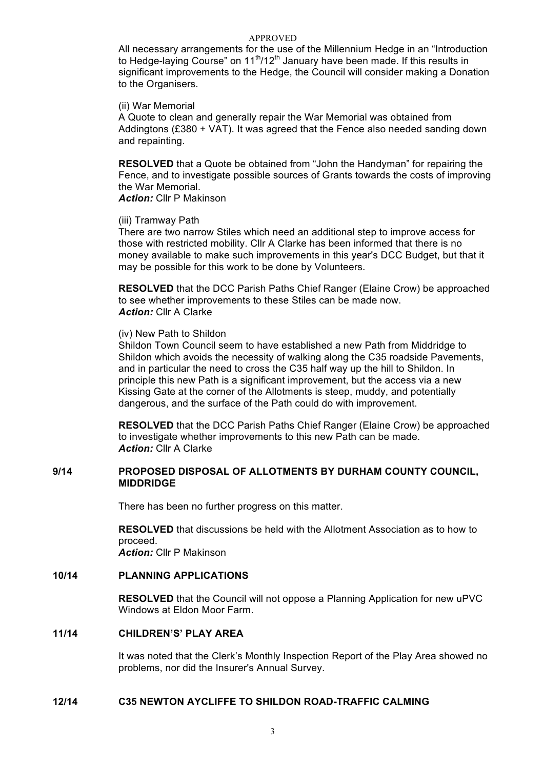All necessary arrangements for the use of the Millennium Hedge in an "Introduction to Hedge-laying Course" on  $11<sup>th</sup>/12<sup>th</sup>$  January have been made. If this results in significant improvements to the Hedge, the Council will consider making a Donation to the Organisers.

(ii) War Memorial

A Quote to clean and generally repair the War Memorial was obtained from Addingtons (£380 + VAT). It was agreed that the Fence also needed sanding down and repainting.

**RESOLVED** that a Quote be obtained from "John the Handyman" for repairing the Fence, and to investigate possible sources of Grants towards the costs of improving the War Memorial.

*Action:* Cllr P Makinson

#### (iii) Tramway Path

There are two narrow Stiles which need an additional step to improve access for those with restricted mobility. Cllr A Clarke has been informed that there is no money available to make such improvements in this year's DCC Budget, but that it may be possible for this work to be done by Volunteers.

**RESOLVED** that the DCC Parish Paths Chief Ranger (Elaine Crow) be approached to see whether improvements to these Stiles can be made now. **Action:** Cllr A Clarke

#### (iv) New Path to Shildon

Shildon Town Council seem to have established a new Path from Middridge to Shildon which avoids the necessity of walking along the C35 roadside Pavements, and in particular the need to cross the C35 half way up the hill to Shildon. In principle this new Path is a significant improvement, but the access via a new Kissing Gate at the corner of the Allotments is steep, muddy, and potentially dangerous, and the surface of the Path could do with improvement.

**RESOLVED** that the DCC Parish Paths Chief Ranger (Elaine Crow) be approached to investigate whether improvements to this new Path can be made. *Action:* Cllr A Clarke

## **9/14 PROPOSED DISPOSAL OF ALLOTMENTS BY DURHAM COUNTY COUNCIL, MIDDRIDGE**

There has been no further progress on this matter.

**RESOLVED** that discussions be held with the Allotment Association as to how to proceed.

*Action:* Cllr P Makinson

# **10/14 PLANNING APPLICATIONS**

**RESOLVED** that the Council will not oppose a Planning Application for new uPVC Windows at Eldon Moor Farm.

# **11/14 CHILDREN'S' PLAY AREA**

It was noted that the Clerk's Monthly Inspection Report of the Play Area showed no problems, nor did the Insurer's Annual Survey.

# **12/14 C35 NEWTON AYCLIFFE TO SHILDON ROAD-TRAFFIC CALMING**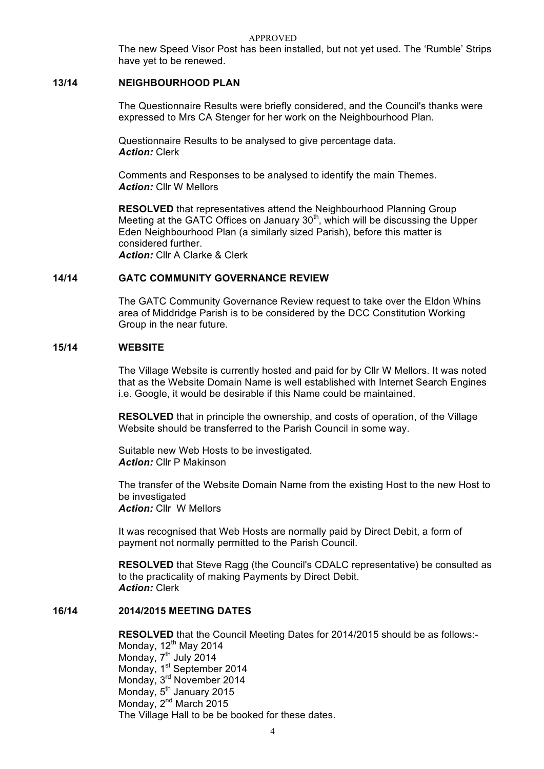The new Speed Visor Post has been installed, but not yet used. The 'Rumble' Strips have yet to be renewed.

### **13/14 NEIGHBOURHOOD PLAN**

The Questionnaire Results were briefly considered, and the Council's thanks were expressed to Mrs CA Stenger for her work on the Neighbourhood Plan.

Questionnaire Results to be analysed to give percentage data. *Action:* Clerk

Comments and Responses to be analysed to identify the main Themes. *Action:* Cllr W Mellors

**RESOLVED** that representatives attend the Neighbourhood Planning Group Meeting at the GATC Offices on January  $30<sup>th</sup>$ , which will be discussing the Upper Eden Neighbourhood Plan (a similarly sized Parish), before this matter is considered further. *Action:* Cllr A Clarke & Clerk

### **14/14 GATC COMMUNITY GOVERNANCE REVIEW**

The GATC Community Governance Review request to take over the Eldon Whins area of Middridge Parish is to be considered by the DCC Constitution Working Group in the near future.

### **15/14 WEBSITE**

The Village Website is currently hosted and paid for by Cllr W Mellors. It was noted that as the Website Domain Name is well established with Internet Search Engines i.e. Google, it would be desirable if this Name could be maintained.

**RESOLVED** that in principle the ownership, and costs of operation, of the Village Website should be transferred to the Parish Council in some way.

Suitable new Web Hosts to be investigated. *Action:* Cllr P Makinson

The transfer of the Website Domain Name from the existing Host to the new Host to be investigated *Action:* Cllr W Mellors

It was recognised that Web Hosts are normally paid by Direct Debit, a form of payment not normally permitted to the Parish Council.

**RESOLVED** that Steve Ragg (the Council's CDALC representative) be consulted as to the practicality of making Payments by Direct Debit. *Action:* Clerk

## **16/14 2014/2015 MEETING DATES**

**RESOLVED** that the Council Meeting Dates for 2014/2015 should be as follows:- Monday, 12<sup>th</sup> May 2014 Monday, 7<sup>th</sup> July 2014 Monday, 1<sup>st</sup> September 2014 Monday, 3rd November 2014 Monday, 5<sup>th</sup> January 2015 Monday, 2<sup>nd</sup> March 2015 The Village Hall to be be booked for these dates.